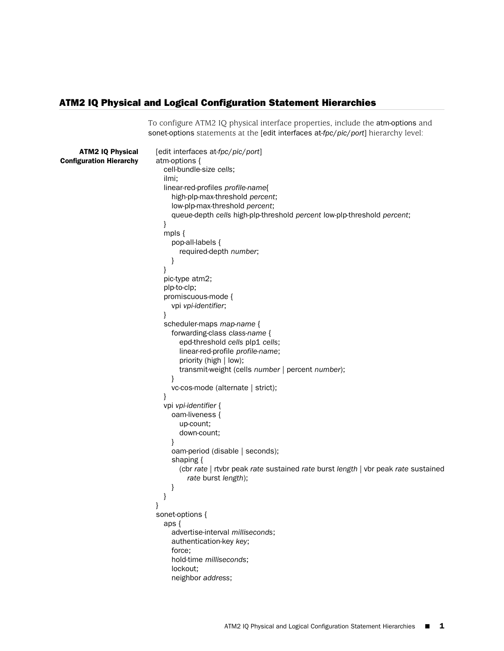## ATM2 IQ Physical and Logical Configuration Statement Hierarchies

To configure ATM2 IQ physical interface properties, include the atm-options and

sonet-options statements at the [edit interfaces at-*fpc*/*pic*/*port*] hierarchy level: ATM2 IQ Physical Configuration Hierarchy [edit interfaces at-*fpc*/*pic*/*port*] atm-options { cell-bundle-size *cells*; ilmi; linear-red-profiles *profile-name*{ high-plp-max-threshold *percent*; low-plp-max-threshold *percent*; queue-depth *cells* high-plp-threshold *percent* low-plp-threshold *percent*; } mpls { pop-all-labels { required-depth *number*; } } pic-type atm2; plp-to-clp; promiscuous-mode { vpi *vpi-identifier*; } scheduler-maps *map-name* { forwarding-class *class-name* { epd-threshold *cells* plp1 *cells*; linear-red-profile *profile-name*; priority (high | low); transmit-weight (cells *number* | percent *number*); } vc-cos-mode (alternate | strict); } vpi *vpi-identifier* { oam-liveness { up-count; down-count; } oam-period (disable | seconds); shaping { (cbr *rate* | rtvbr peak *rate* sustained *rate* burst *length* | vbr peak *rate* sustained *rate* burst *length*); } } } sonet-options { aps { advertise-interval *milliseconds*; authentication-key *key*; force; hold-time *milliseconds*; lockout; neighbor *address*;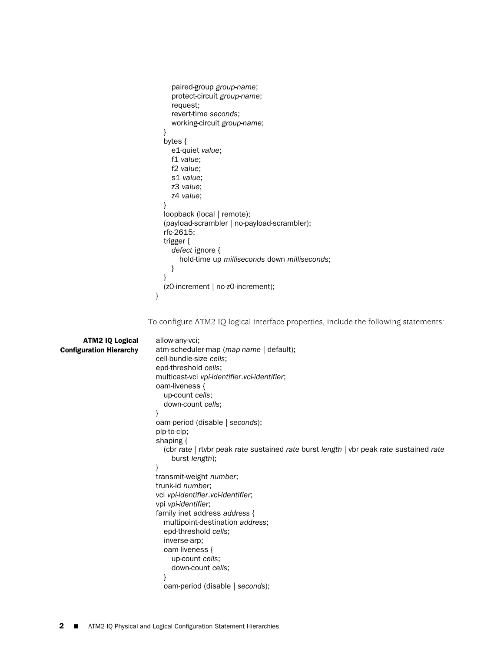```
paired-group group-name;
     protect-circuit group-name;
     request;
     revert-time seconds;
     working-circuit group-name;
  }
  bytes {
    e1-quiet value;
    f1 value;
    f2 value;
     s1 value;
     z3 value;
    z4 value;
  }
  loopback (local | remote);
  (payload-scrambler | no-payload-scrambler);
  rfc-2615;
  trigger {
    defect ignore {
       hold-time up milliseconds down milliseconds;
     }
   }
  (z0-increment | no-z0-increment);
}
```
To configure ATM2 IQ logical interface properties, include the following statements:

| <b>ATM2 IQ Logical</b>         | allow-any-vci;                                                                         |
|--------------------------------|----------------------------------------------------------------------------------------|
| <b>Configuration Hierarchy</b> | atm-scheduler-map (map-name   default);                                                |
|                                | cell-bundle-size cells;                                                                |
|                                | epd-threshold cells;                                                                   |
|                                | multicast-vci vpi-identifier.vci-identifier;                                           |
|                                | oam-liveness {                                                                         |
|                                | up-count cells:                                                                        |
|                                | down-count cells;                                                                      |
|                                |                                                                                        |
|                                | oam-period (disable   seconds);                                                        |
|                                | plp-to-clp;                                                                            |
|                                | shaping $\{$                                                                           |
|                                | (cbr rate   rtvbr peak rate sustained rate burst length   vbr peak rate sustained rate |
|                                | burst length);                                                                         |
|                                |                                                                                        |
|                                | transmit-weight number;                                                                |
|                                | trunk-id number;                                                                       |
|                                | vci vpi-identifier.vci-identifier;                                                     |
|                                | vpi <i>vpi-identifier</i> ;                                                            |
|                                | family inet address address {                                                          |
|                                | multipoint-destination address;                                                        |
|                                | epd-threshold cells;                                                                   |
|                                | inverse-arp;                                                                           |
|                                | oam-liveness {                                                                         |
|                                | up-count cells;                                                                        |
|                                | down-count cells:                                                                      |
|                                |                                                                                        |
|                                | oam-period (disable   seconds);                                                        |